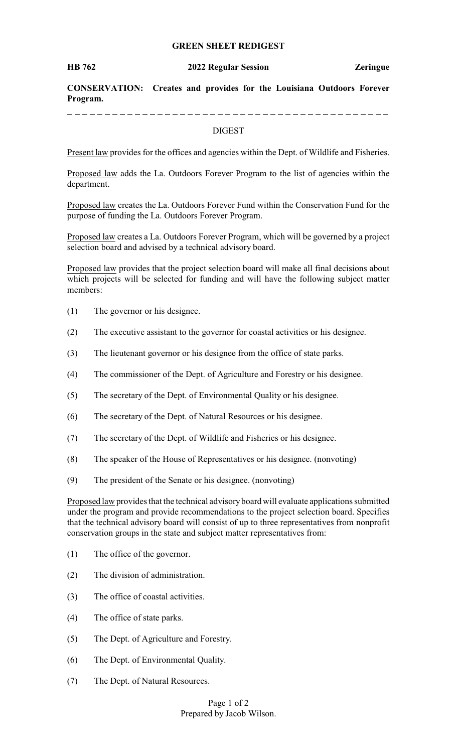# **GREEN SHEET REDIGEST**

#### **HB 762 2022 Regular Session Zeringue**

**CONSERVATION: Creates and provides for the Louisiana Outdoors Forever Program.**

### DIGEST

Present law provides for the offices and agencies within the Dept. of Wildlife and Fisheries.

Proposed law adds the La. Outdoors Forever Program to the list of agencies within the department.

Proposed law creates the La. Outdoors Forever Fund within the Conservation Fund for the purpose of funding the La. Outdoors Forever Program.

Proposed law creates a La. Outdoors Forever Program, which will be governed by a project selection board and advised by a technical advisory board.

Proposed law provides that the project selection board will make all final decisions about which projects will be selected for funding and will have the following subject matter members:

- (1) The governor or his designee.
- (2) The executive assistant to the governor for coastal activities or his designee.
- (3) The lieutenant governor or his designee from the office of state parks.
- (4) The commissioner of the Dept. of Agriculture and Forestry or his designee.
- (5) The secretary of the Dept. of Environmental Quality or his designee.
- (6) The secretary of the Dept. of Natural Resources or his designee.
- (7) The secretary of the Dept. of Wildlife and Fisheries or his designee.
- (8) The speaker of the House of Representatives or his designee. (nonvoting)
- (9) The president of the Senate or his designee. (nonvoting)

Proposed law provides that the technical advisoryboard will evaluate applications submitted under the program and provide recommendations to the project selection board. Specifies that the technical advisory board will consist of up to three representatives from nonprofit conservation groups in the state and subject matter representatives from:

- (1) The office of the governor.
- (2) The division of administration.
- (3) The office of coastal activities.
- (4) The office of state parks.
- (5) The Dept. of Agriculture and Forestry.
- (6) The Dept. of Environmental Quality.
- (7) The Dept. of Natural Resources.

Page 1 of 2 Prepared by Jacob Wilson.